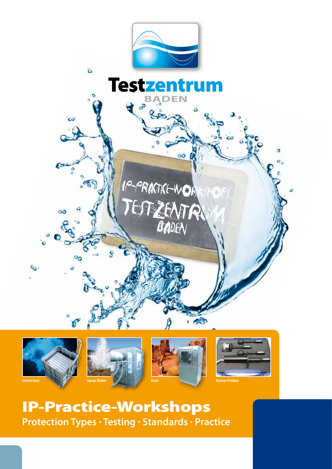









IP-Practice-Workshops **Protection Types · Testing · Standards · Practice**